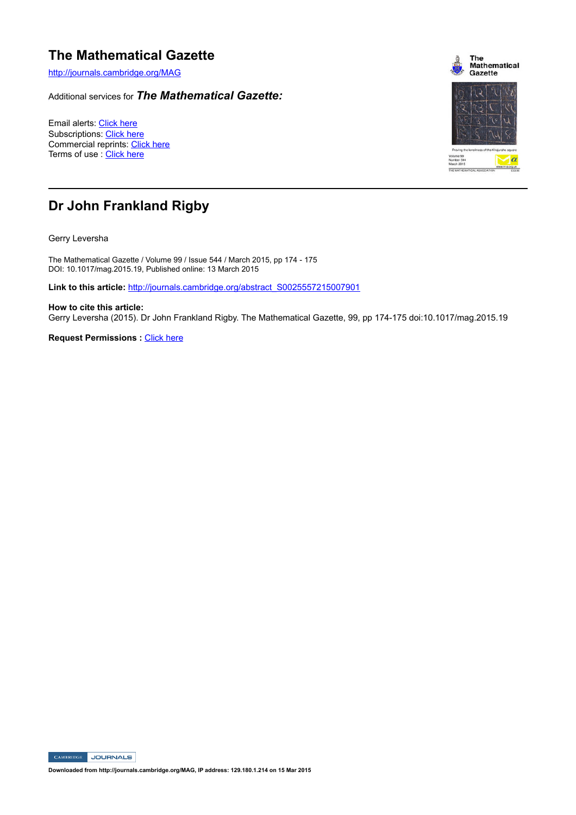## **The Mathematical Gazette**

http://journals.cambridge.org/MAG

Additional services for *The Mathematical Gazette:*

Email alerts: Click here Subscriptions: Click here Commercial reprints: Click here Terms of use : Click here



## **Dr John Frankland Rigby**

Gerry Leversha

The Mathematical Gazette / Volume 99 / Issue 544 / March 2015, pp 174 - 175 DOI: 10.1017/mag.2015.19, Published online: 13 March 2015

Link to this article: http://journals.cambridge.org/abstract\_S0025557215007901

**How to cite this article:** Gerry Leversha (2015). Dr John Frankland Rigby. The Mathematical Gazette, 99, pp 174-175 doi:10.1017/mag.2015.19

**Request Permissions :** Click here

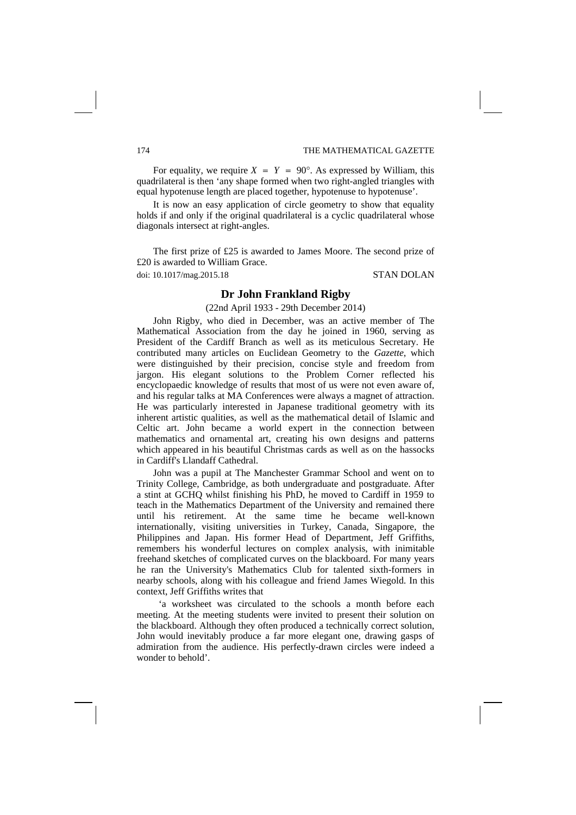For equality, we require  $X = Y = 90^\circ$ . As expressed by William, this quadrilateral is then 'any shape formed when two right-angled triangles with equal hypotenuse length are placed together, hypotenuse to hypotenuse'.

It is now an easy application of circle geometry to show that equality holds if and only if the original quadrilateral is a cyclic quadrilateral whose diagonals intersect at right-angles.

The first prize of £25 is awarded to James Moore. The second prize of £20 is awarded to William Grace.

doi: 10.1017/mag.2015.18 STAN DOLAN

## **Dr John Frankland Rigby**

(22nd April 1933 - 29th December 2014)

John Rigby, who died in December, was an active member of The Mathematical Association from the day he joined in 1960, serving as President of the Cardiff Branch as well as its meticulous Secretary. He contributed many articles on Euclidean Geometry to the *Gazette*, which were distinguished by their precision, concise style and freedom from jargon. His elegant solutions to the Problem Corner reflected his encyclopaedic knowledge of results that most of us were not even aware of, and his regular talks at MA Conferences were always a magnet of attraction. He was particularly interested in Japanese traditional geometry with its inherent artistic qualities, as well as the mathematical detail of Islamic and Celtic art. John became a world expert in the connection between mathematics and ornamental art, creating his own designs and patterns which appeared in his beautiful Christmas cards as well as on the hassocks in Cardiff's Llandaff Cathedral.

John was a pupil at The Manchester Grammar School and went on to Trinity College, Cambridge, as both undergraduate and postgraduate. After a stint at GCHQ whilst finishing his PhD, he moved to Cardiff in 1959 to teach in the Mathematics Department of the University and remained there until his retirement. At the same time he became well-known internationally, visiting universities in Turkey, Canada, Singapore, the Philippines and Japan. His former Head of Department, Jeff Griffiths, remembers his wonderful lectures on complex analysis, with inimitable freehand sketches of complicated curves on the blackboard. For many years he ran the University's Mathematics Club for talented sixth-formers in nearby schools, along with his colleague and friend James Wiegold. In this context, Jeff Griffiths writes that

'a worksheet was circulated to the schools a month before each meeting. At the meeting students were invited to present their solution on the blackboard. Although they often produced a technically correct solution, John would inevitably produce a far more elegant one, drawing gasps of admiration from the audience. His perfectly-drawn circles were indeed a wonder to behold'.